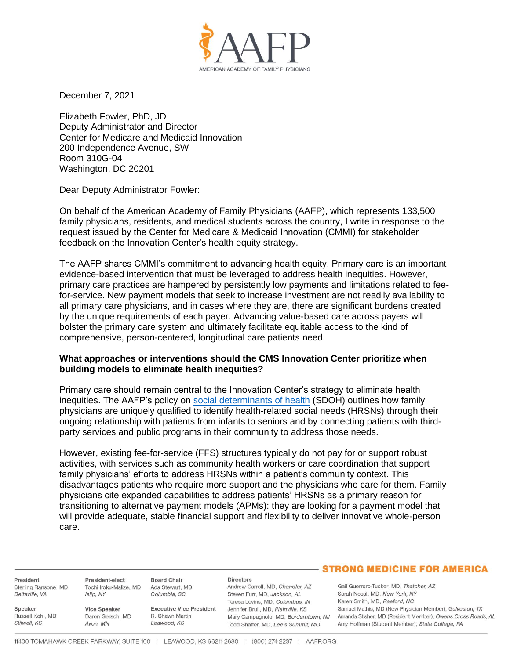

December 7, 2021

Elizabeth Fowler, PhD, JD Deputy Administrator and Director Center for Medicare and Medicaid Innovation 200 Independence Avenue, SW Room 310G-04 Washington, DC 20201

Dear Deputy Administrator Fowler:

On behalf of the American Academy of Family Physicians (AAFP), which represents 133,500 family physicians, residents, and medical students across the country, I write in response to the request issued by the Center for Medicare & Medicaid Innovation (CMMI) for stakeholder feedback on the Innovation Center's health equity strategy.

The AAFP shares CMMI's commitment to advancing health equity. Primary care is an important evidence-based intervention that must be leveraged to address health inequities. However, primary care practices are hampered by persistently low payments and limitations related to feefor-service. New payment models that seek to increase investment are not readily availability to all primary care physicians, and in cases where they are, there are significant burdens created by the unique requirements of each payer. Advancing value-based care across payers will bolster the primary care system and ultimately facilitate equitable access to the kind of comprehensive, person-centered, longitudinal care patients need.

## **What approaches or interventions should the CMS Innovation Center prioritize when building models to eliminate health inequities?**

Primary care should remain central to the Innovation Center's strategy to eliminate health inequities. The AAFP's policy on [social determinants of health](https://www.aafp.org/about/policies/all/social-determinants-health-family-medicine-position-paper.html) (SDOH) outlines how family physicians are uniquely qualified to identify health-related social needs (HRSNs) through their ongoing relationship with patients from infants to seniors and by connecting patients with thirdparty services and public programs in their community to address those needs.

However, existing fee-for-service (FFS) structures typically do not pay for or support robust activities, with services such as community health workers or care coordination that support family physicians' efforts to address HRSNs within a patient's community context. This disadvantages patients who require more support and the physicians who care for them. Family physicians cite expanded capabilities to address patients' HRSNs as a primary reason for transitioning to alternative payment models (APMs): they are looking for a payment model that will provide adequate, stable financial support and flexibility to deliver innovative whole-person care.

President Sterling Ransone, MD Deltaville, VA

Russell Kohl, MD

Speaker

Stilwell, KS

President-elect Tochi Iroku-Malize, MD Ada Stewart, MD Islip, NY

**Vice Speaker** Daron Gersch, MD Avon, MN

R. Shawn Martin Leawood, KS

#### **Directors**

Andrew Carroll, MD, Chandler, AZ Steven Furr, MD, Jackson, AL Teresa Lovins, MD, Columbus, IN Executive Vice President Jennifer Brull, MD, Plainville, KS Todd Shaffer, MD, Lee's Summit, MO

# **STRONG MEDICINE FOR AMERICA**

Gail Guerrero-Tucker, MD, Thatcher, AZ Sarah Nosal, MD, New York, NY Karen Smith, MD, Raeford, NC Samuel Mathis, MD (New Physician Member), Galveston, TX Mary Campagnolo, MD, Borderntown, NJ Amanda Stisher, MD (Resident Member), Owens Cross Roads, AL Amy Hoffman (Student Member), State College, PA

**Board Chair** 

Columbia, SC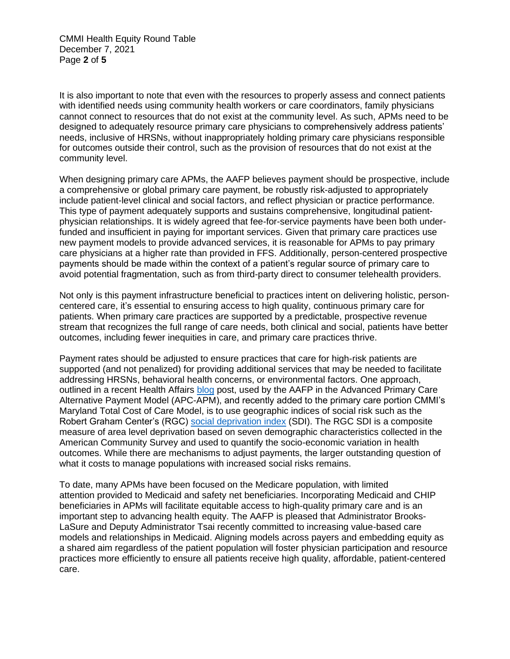CMMI Health Equity Round Table December 7, 2021 Page **2** of **5**

It is also important to note that even with the resources to properly assess and connect patients with identified needs using community health workers or care coordinators, family physicians cannot connect to resources that do not exist at the community level. As such, APMs need to be designed to adequately resource primary care physicians to comprehensively address patients' needs, inclusive of HRSNs, without inappropriately holding primary care physicians responsible for outcomes outside their control, such as the provision of resources that do not exist at the community level.

When designing primary care APMs, the AAFP believes payment should be prospective, include a comprehensive or global primary care payment, be robustly risk-adjusted to appropriately include patient-level clinical and social factors, and reflect physician or practice performance. This type of payment adequately supports and sustains comprehensive, longitudinal patientphysician relationships. It is widely agreed that fee-for-service payments have been both underfunded and insufficient in paying for important services. Given that primary care practices use new payment models to provide advanced services, it is reasonable for APMs to pay primary care physicians at a higher rate than provided in FFS. Additionally, person-centered prospective payments should be made within the context of a patient's regular source of primary care to avoid potential fragmentation, such as from third-party direct to consumer telehealth providers.

Not only is this payment infrastructure beneficial to practices intent on delivering holistic, personcentered care, it's essential to ensuring access to high quality, continuous primary care for patients. When primary care practices are supported by a predictable, prospective revenue stream that recognizes the full range of care needs, both clinical and social, patients have better outcomes, including fewer inequities in care, and primary care practices thrive.

Payment rates should be adjusted to ensure practices that care for high-risk patients are supported (and not penalized) for providing additional services that may be needed to facilitate addressing HRSNs, behavioral health concerns, or environmental factors. One approach, outlined in a recent Health Affairs [blog](https://www.healthaffairs.org/do/10.1377/hblog20210526.933567/full/) post, used by the AAFP in the Advanced Primary Care Alternative Payment Model (APC-APM), and recently added to the primary care portion CMMI's Maryland Total Cost of Care Model, is to use geographic indices of social risk such as the Robert Graham Center's (RGC) [social deprivation index](https://www.graham-center.org/rgc/maps-data-tools/sdi/social-deprivation-index.html) (SDI). The RGC SDI is a composite measure of area level deprivation based on seven demographic characteristics collected in the American Community Survey and used to quantify the socio-economic variation in health outcomes. While there are mechanisms to adjust payments, the larger outstanding question of what it costs to manage populations with increased social risks remains.

To date, many APMs have been focused on the Medicare population, with limited attention provided to Medicaid and safety net beneficiaries. Incorporating Medicaid and CHIP beneficiaries in APMs will facilitate equitable access to high-quality primary care and is an important step to advancing health equity. The AAFP is pleased that Administrator Brooks-LaSure and Deputy Administrator Tsai recently committed to increasing value-based care models and relationships in Medicaid. Aligning models across payers and embedding equity as a shared aim regardless of the patient population will foster physician participation and resource practices more efficiently to ensure all patients receive high quality, affordable, patient-centered care.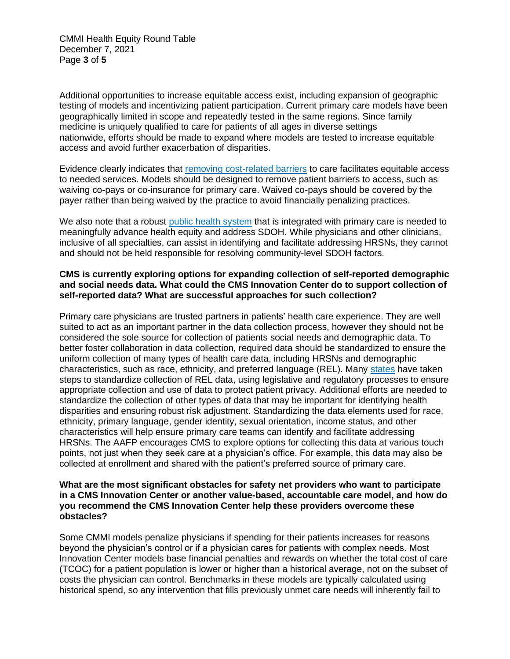CMMI Health Equity Round Table December 7, 2021 Page **3** of **5**

Additional opportunities to increase equitable access exist, including expansion of geographic testing of models and incentivizing patient participation. Current primary care models have been geographically limited in scope and repeatedly tested in the same regions. Since family medicine is uniquely qualified to care for patients of all ages in diverse settings nationwide, efforts should be made to expand where models are tested to increase equitable access and avoid further exacerbation of disparities.

Evidence clearly indicates that [removing cost-related barriers](https://www.kff.org/medicaid/issue-brief/the-effects-of-premiums-and-cost-sharing-on-low-income-populations-updated-review-of-research-findings/view/print/) to care facilitates equitable access to needed services. Models should be designed to remove patient barriers to access, such as waiving co-pays or co-insurance for primary care. Waived co-pays should be covered by the payer rather than being waived by the practice to avoid financially penalizing practices.

We also note that a robust [public health system](https://www.aafp.org/about/policies/all/integration-primary-care.html) that is integrated with primary care is needed to meaningfully advance health equity and address SDOH. While physicians and other clinicians, inclusive of all specialties, can assist in identifying and facilitate addressing HRSNs, they cannot and should not be held responsible for resolving community-level SDOH factors.

# **CMS is currently exploring options for expanding collection of self-reported demographic and social needs data. What could the CMS Innovation Center do to support collection of self-reported data? What are successful approaches for such collection?**

Primary care physicians are trusted partners in patients' health care experience. They are well suited to act as an important partner in the data collection process, however they should not be considered the sole source for collection of patients social needs and demographic data. To better foster collaboration in data collection, required data should be standardized to ensure the uniform collection of many types of health care data, including HRSNs and demographic characteristics, such as race, ethnicity, and preferred language (REL). Many [states](https://www.cthealth.org/latest-news/blog-posts/lets-get-rel-health-equity-data/) have taken steps to standardize collection of REL data, using legislative and regulatory processes to ensure appropriate collection and use of data to protect patient privacy. Additional efforts are needed to standardize the collection of other types of data that may be important for identifying health disparities and ensuring robust risk adjustment. Standardizing the data elements used for race, ethnicity, primary language, gender identity, sexual orientation, income status, and other characteristics will help ensure primary care teams can identify and facilitate addressing HRSNs. The AAFP encourages CMS to explore options for collecting this data at various touch points, not just when they seek care at a physician's office. For example, this data may also be collected at enrollment and shared with the patient's preferred source of primary care.

# **What are the most significant obstacles for safety net providers who want to participate in a CMS Innovation Center or another value-based, accountable care model, and how do you recommend the CMS Innovation Center help these providers overcome these obstacles?**

Some CMMI models penalize physicians if spending for their patients increases for reasons beyond the physician's control or if a physician cares for patients with complex needs. Most Innovation Center models base financial penalties and rewards on whether the total cost of care (TCOC) for a patient population is lower or higher than a historical average, not on the subset of costs the physician can control. Benchmarks in these models are typically calculated using historical spend, so any intervention that fills previously unmet care needs will inherently fail to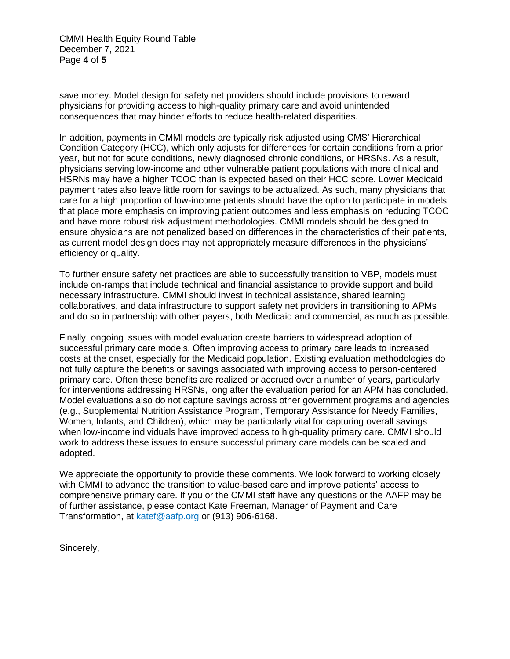CMMI Health Equity Round Table December 7, 2021 Page **4** of **5**

save money. Model design for safety net providers should include provisions to reward physicians for providing access to high-quality primary care and avoid unintended consequences that may hinder efforts to reduce health-related disparities.

In addition, payments in CMMI models are typically risk adjusted using CMS' Hierarchical Condition Category (HCC), which only adjusts for differences for certain conditions from a prior year, but not for acute conditions, newly diagnosed chronic conditions, or HRSNs. As a result, physicians serving low-income and other vulnerable patient populations with more clinical and HSRNs may have a higher TCOC than is expected based on their HCC score. Lower Medicaid payment rates also leave little room for savings to be actualized. As such, many physicians that care for a high proportion of low-income patients should have the option to participate in models that place more emphasis on improving patient outcomes and less emphasis on reducing TCOC and have more robust risk adjustment methodologies. CMMI models should be designed to ensure physicians are not penalized based on differences in the characteristics of their patients, as current model design does may not appropriately measure differences in the physicians' efficiency or quality.

To further ensure safety net practices are able to successfully transition to VBP, models must include on-ramps that include technical and financial assistance to provide support and build necessary infrastructure. CMMI should invest in technical assistance, shared learning collaboratives, and data infrastructure to support safety net providers in transitioning to APMs and do so in partnership with other payers, both Medicaid and commercial, as much as possible.

Finally, ongoing issues with model evaluation create barriers to widespread adoption of successful primary care models. Often improving access to primary care leads to increased costs at the onset, especially for the Medicaid population. Existing evaluation methodologies do not fully capture the benefits or savings associated with improving access to person-centered primary care. Often these benefits are realized or accrued over a number of years, particularly for interventions addressing HRSNs, long after the evaluation period for an APM has concluded. Model evaluations also do not capture savings across other government programs and agencies (e.g., Supplemental Nutrition Assistance Program, Temporary Assistance for Needy Families, Women, Infants, and Children), which may be particularly vital for capturing overall savings when low-income individuals have improved access to high-quality primary care. CMMI should work to address these issues to ensure successful primary care models can be scaled and adopted.

We appreciate the opportunity to provide these comments. We look forward to working closely with CMMI to advance the transition to value-based care and improve patients' access to comprehensive primary care. If you or the CMMI staff have any questions or the AAFP may be of further assistance, please contact Kate Freeman, Manager of Payment and Care Transformation, at [katef@aafp.org](mailto:katef@aafp.org) or (913) 906-6168.

Sincerely,